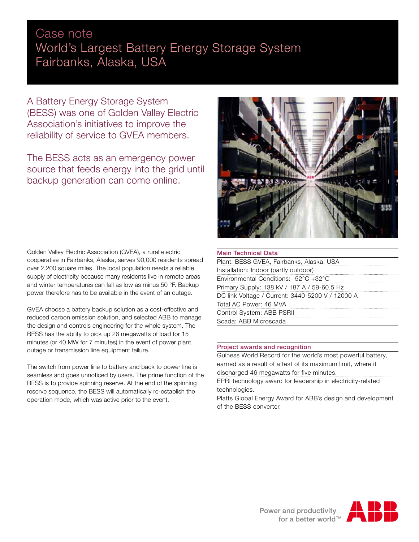# Case note World's Largest Battery Energy Storage System Fairbanks, Alaska, USA

A Battery Energy Storage System (BESS) was one of Golden Valley Electric Association's initiatives to improve the reliability of service to GVEA members.

The BESS acts as an emergency power source that feeds energy into the grid until backup generation can come online.

Golden Valley Electric Association (GVEA), a rural electric cooperative in Fairbanks, Alaska, serves 90,000 residents spread over 2,200 square miles. The local population needs a reliable supply of electricity because many residents live in remote areas and winter temperatures can fall as low as minus 50 °F. Backup power therefore has to be available in the event of an outage.

GVEA choose a battery backup solution as a cost-effective and reduced carbon emission solution, and selected ABB to manage the design and controls engineering for the whole system. The BESS has the ability to pick up 26 megawatts of load for 15 minutes (or 40 MW for 7 minutes) in the event of power plant outage or transmission line equipment failure.

The switch from power line to battery and back to power line is seamless and goes unnoticed by users. The prime function of the BESS is to provide spinning reserve. At the end of the spinning reserve sequence, the BESS will automatically re-establish the operation mode, which was active prior to the event.



# Main Technical Data

| Plant: BESS GVEA, Fairbanks, Alaska, USA         |
|--------------------------------------------------|
| Installation: Indoor (partly outdoor)            |
| Environmental Conditions: -52°C +32°C            |
| Primary Supply: 138 kV / 187 A / 59-60.5 Hz      |
| DC link Voltage / Current: 3440-5200 V / 12000 A |
| Total AC Power: 46 MVA                           |
| Control System: ABB PSRII                        |
| Scada: ABB Microscada                            |
|                                                  |

# Project awards and recognition

Guiness World Record for the world's most powerful battery, earned as a result of a test of its maximum limit, where it discharged 46 megawatts for five minutes.

EPRI technology award for leadership in electricity-related technologies.

Platts Global Energy Award for ABB's design and development of the BESS converter.

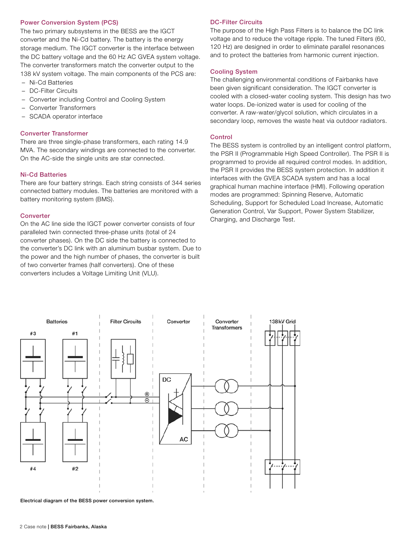## Power Conversion System (PCS)

The two primary subsystems in the BESS are the IGCT converter and the Ni-Cd battery. The battery is the energy storage medium. The IGCT converter is the interface between the DC battery voltage and the 60 Hz AC GVEA system voltage. The converter transformers match the converter output to the 138 kV system voltage. The main components of the PCS are:

- − Ni-Cd Batteries
- − DC-Filter Circuits
- − Converter including Control and Cooling System
- − Converter Transformers
- SCADA operator interface

## Converter Transformer

There are three single-phase transformers, each rating 14.9 MVA. The secondary windings are connected to the converter. On the AC-side the single units are star connected.

#### Ni-Cd Batteries

There are four battery strings. Each string consists of 344 series connected battery modules. The batteries are monitored with a battery monitoring system (BMS).

#### **Converter**

On the AC line side the IGCT power converter consists of four paralleled twin connected three-phase units (total of 24 converter phases). On the DC side the battery is connected to the converter's DC link with an aluminum busbar system. Due to the power and the high number of phases, the converter is built of two converter frames (half converters). One of these converters includes a Voltage Limiting Unit (VLU).

# DC-Filter Circuits

The purpose of the High Pass Filters is to balance the DC link voltage and to reduce the voltage ripple. The tuned Filters (60, 120 Hz) are designed in order to eliminate parallel resonances and to protect the batteries from harmonic current injection.

## Cooling System

The challenging environmental conditions of Fairbanks have been given significant consideration. The IGCT converter is cooled with a closed-water cooling system. This design has two water loops. De-ionized water is used for cooling of the converter. A raw-water/glycol solution, which circulates in a secondary loop, removes the waste heat via outdoor radiators.

## Control

The BESS system is controlled by an intelligent control platform, the PSR II (Programmable High Speed Controller). The PSR II is programmed to provide all required control modes. In addition, the PSR II provides the BESS system protection. In addition it interfaces with the GVEA SCADA system and has a local graphical human machine interface (HMI). Following operation modes are programmed: Spinning Reserve, Automatic Scheduling, Support for Scheduled Load Increase, Automatic Generation Control, Var Support, Power System Stabilizer, Charging, and Discharge Test.



Electrical diagram of the BESS power conversion system.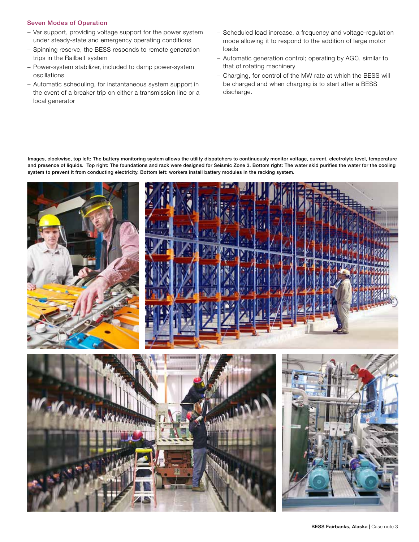## Seven Modes of Operation

- − Var support, providing voltage support for the power system under steady-state and emergency operating conditions
- − Spinning reserve, the BESS responds to remote generation trips in the Railbelt system
- − Power-system stabilizer, included to damp power-system oscillations
- − Automatic scheduling, for instantaneous system support in the event of a breaker trip on either a transmission line or a local generator
- − Scheduled load increase, a frequency and voltage-regulation mode allowing it to respond to the addition of large motor loads
- − Automatic generation control; operating by AGC, similar to that of rotating machinery
- − Charging, for control of the MW rate at which the BESS will be charged and when charging is to start after a BESS discharge.

Images, clockwise, top left: The battery monitoring system allows the utility dispatchers to continuously monitor voltage, current, electrolyte level, temperature and presence of liquids. Top right: The foundations and rack were designed for Seismic Zone 3. Bottom right: The water skid purifies the water for the cooling system to prevent it from conducting electricity. Bottom left: workers install battery modules in the racking system.